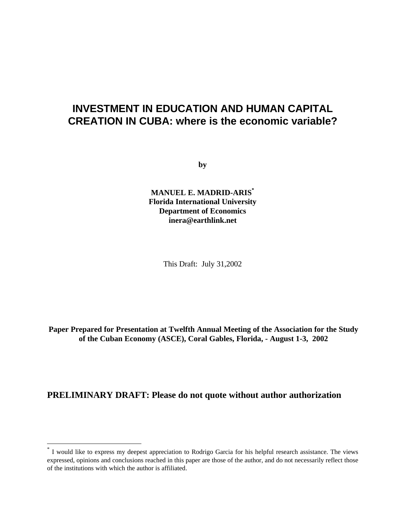# **INVESTMENT IN EDUCATION AND HUMAN CAPITAL CREATION IN CUBA: where is the economic variable?**

**by**

**MANUEL E. MADRID-ARIS\* Florida International University Department of Economics inera@earthlink.net**

This Draft: July 31,2002

**Paper Prepared for Presentation at Twelfth Annual Meeting of the Association for the Study of the Cuban Economy (ASCE), Coral Gables, Florida, - August 1-3, 2002**

# **PRELIMINARY DRAFT: Please do not quote without author authorization**

-

<sup>\*</sup> I would like to express my deepest appreciation to Rodrigo Garcia for his helpful research assistance. The views expressed, opinions and conclusions reached in this paper are those of the author, and do not necessarily reflect those of the institutions with which the author is affiliated.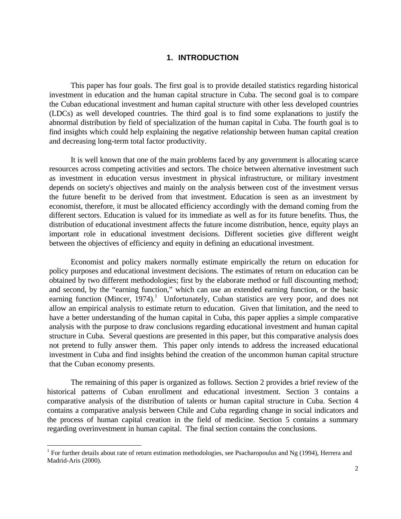## **1. INTRODUCTION**

This paper has four goals. The first goal is to provide detailed statistics regarding historical investment in education and the human capital structure in Cuba. The second goal is to compare the Cuban educational investment and human capital structure with other less developed countries (LDCs) as well developed countries. The third goal is to find some explanations to justify the abnormal distribution by field of specialization of the human capital in Cuba. The fourth goal is to find insights which could help explaining the negative relationship between human capital creation and decreasing long-term total factor productivity.

It is well known that one of the main problems faced by any government is allocating scarce resources across competing activities and sectors. The choice between alternative investment such as investment in education versus investment in physical infrastructure, or military investment depends on society's objectives and mainly on the analysis between cost of the investment versus the future benefit to be derived from that investment. Education is seen as an investment by economist, therefore, it must be allocated efficiency accordingly with the demand coming from the different sectors. Education is valued for its immediate as well as for its future benefits. Thus, the distribution of educational investment affects the future income distribution, hence, equity plays an important role in educational investment decisions. Different societies give different weight between the objectives of efficiency and equity in defining an educational investment.

Economist and policy makers normally estimate empirically the return on education for policy purposes and educational investment decisions. The estimates of return on education can be obtained by two different methodologies; first by the elaborate method or full discounting method; and second, by the "earning function," which can use an extended earning function, or the basic earning function (Mincer, 1974).<sup>1</sup> Unfortunately, Cuban statistics are very poor, and does not allow an empirical analysis to estimate return to education. Given that limitation, and the need to have a better understanding of the human capital in Cuba, this paper applies a simple comparative analysis with the purpose to draw conclusions regarding educational investment and human capital structure in Cuba. Several questions are presented in this paper, but this comparative analysis does not pretend to fully answer them. This paper only intends to address the increased educational investment in Cuba and find insights behind the creation of the uncommon human capital structure that the Cuban economy presents.

The remaining of this paper is organized as follows. Section 2 provides a brief review of the historical patterns of Cuban enrollment and educational investment. Section 3 contains a comparative analysis of the distribution of talents or human capital structure in Cuba. Section 4 contains a comparative analysis between Chile and Cuba regarding change in social indicators and the process of human capital creation in the field of medicine. Section 5 contains a summary regarding overinvestment in human capital. The final section contains the conclusions.

-

<sup>&</sup>lt;sup>1</sup> For further details about rate of return estimation methodologies, see Psacharopoulus and Ng (1994), Herrera and Madrid-Aris (2000).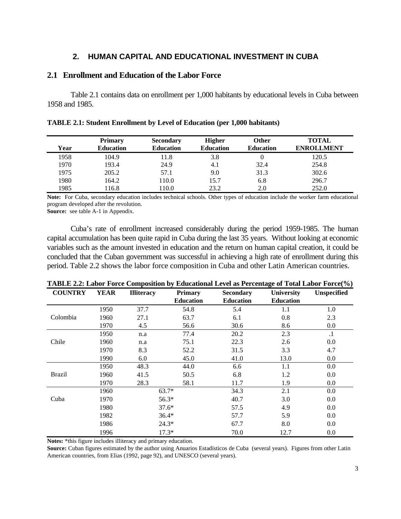## **2. HUMAN CAPITAL AND EDUCATIONAL INVESTMENT IN CUBA**

## **2.1 Enrollment and Education of the Labor Force**

Table 2.1 contains data on enrollment per 1,000 habitants by educational levels in Cuba between 1958 and 1985.

|      | <b>Primary</b>   | <b>Secondary</b> | <b>Higher</b>    | Other            | <b>TOTAL</b>      |
|------|------------------|------------------|------------------|------------------|-------------------|
| Year | <b>Education</b> | <b>Education</b> | <b>Education</b> | <b>Education</b> | <b>ENROLLMENT</b> |
| 1958 | 104.9            | 11.8             | 3.8              | 0                | 120.5             |
| 1970 | 193.4            | 24.9             | 4.1              | 32.4             | 254.8             |
| 1975 | 205.2            | 57.1             | 9.0              | 31.3             | 302.6             |
| 1980 | 164.2            | 110.0            | 15.7             | 6.8              | 296.7             |
| 1985 | 16.8             | 10.0             | 23.2             | 2.0              | 252.0             |

**TABLE 2.1: Student Enrollment by Level of Education (per 1,000 habitants)**

**Note:** For Cuba, secondary education includes technical schools. Other types of education include the worker farm educational program developed after the revolution.

**Source:** see table A-1 in Appendix.

Cuba's rate of enrollment increased considerably during the period 1959-1985. The human capital accumulation has been quite rapid in Cuba during the last 35 years. Without looking at economic variables such as the amount invested in education and the return on human capital creation, it could be concluded that the Cuban government was successful in achieving a high rate of enrollment during this period. Table 2.2 shows the labor force composition in Cuba and other Latin American countries.

| <b>COUNTRY</b> | <b>YEAR</b> | <b>Illiteracy</b> | <b>Primary</b><br><b>Education</b> | <b>Secondary</b><br><b>Education</b> | <b>University</b><br><b>Education</b> | <b>Unspecified</b> |
|----------------|-------------|-------------------|------------------------------------|--------------------------------------|---------------------------------------|--------------------|
|                | 1950        | 37.7              | 54.8                               | 5.4                                  | 1.1                                   | 1.0                |
| Colombia       | 1960        | 27.1              | 63.7                               | 6.1                                  | 0.8                                   | 2.3                |
|                | 1970        | 4.5               | 56.6                               | 30.6                                 | 8.6                                   | 0.0                |
|                | 1950        | n.a               | 77.4                               | 20.2                                 | 2.3                                   | $\cdot$ 1          |
| Chile          | 1960        | n.a               | 75.1                               | 22.3                                 | 2.6                                   | 0.0                |
|                | 1970        | 8.3               | 52.2                               | 31.5                                 | 3.3                                   | 4.7                |
|                | 1990        | 6.0               | 45.0                               | 41.0                                 | 13.0                                  | $0.0\,$            |
|                | 1950        | 48.3              | 44.0                               | 6.6                                  | 1.1                                   | 0.0                |
| <b>Brazil</b>  | 1960        | 41.5              | 50.5                               | 6.8                                  | 1.2                                   | $0.0\,$            |
|                | 1970        | 28.3              | 58.1                               | 11.7                                 | 1.9                                   | $0.0\,$            |
|                | 1960        |                   | $63.7*$                            | 34.3                                 | 2.1                                   | 0.0                |
| Cuba           | 1970        |                   | 56.3*                              | 40.7                                 | 3.0                                   | $0.0\,$            |
|                | 1980        |                   | $37.6*$                            | 57.5                                 | 4.9                                   | $0.0\,$            |
|                | 1982        |                   | $36.4*$                            | 57.7                                 | 5.9                                   | $0.0\,$            |
|                | 1986        |                   | $24.3*$                            | 67.7                                 | 8.0                                   | $0.0\,$            |
|                | 1996        |                   | $17.3*$                            | 70.0                                 | 12.7                                  | 0.0                |

**TABLE 2.2: Labor Force Composition by Educational Level as Percentage of Total Labor Force(%)**

**Notes:** \*this figure includes illiteracy and primary education.

**Source:** Cuban figures estimated by the author using Anuarios Estadísticos de Cuba (several years). Figures from other Latin American countries, from Elias (1992, page 92), and UNESCO (several years).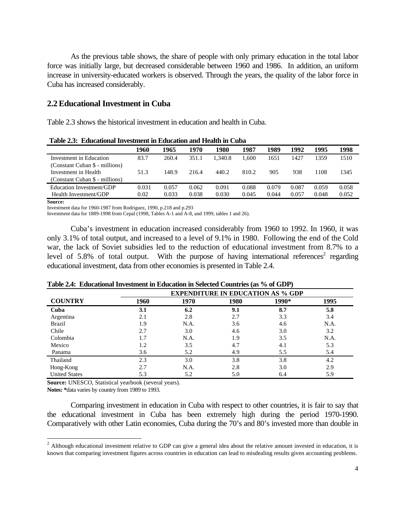As the previous table shows, the share of people with only primary education in the total labor force was initially large, but decreased considerable between 1960 and 1986. In addition, an uniform increase in university-educated workers is observed. Through the years, the quality of the labor force in Cuba has increased considerably.

### **2.2 Educational Investment in Cuba**

Table 2.3 shows the historical investment in education and health in Cuba.

|                                | 1960  | 1965  | 1970  | 1980    | 1987  | 1989  | 1992  | 1995  | 1998  |
|--------------------------------|-------|-------|-------|---------|-------|-------|-------|-------|-------|
| Investment in Education        | 83.7  | 260.4 | 351.1 | 1.340.8 | 1.600 | 1651  | 1427  | 1359  | 1510  |
| (Constant Cuban \$ - millions) |       |       |       |         |       |       |       |       |       |
| Investment in Health           | 51.3  | 148.9 | 216.4 | 440.2   | 810.2 | 905   | 938   | 1108  | 1345  |
| (Constant Cuban \$ - millions) |       |       |       |         |       |       |       |       |       |
| Education Investment/GDP       | 0.031 | 0.057 | 0.062 | 0.091   | 0.088 | 0.079 | 0.087 | 0.059 | 0.058 |
| Health Investment/GDP          | 0.02  | 0.033 | 0.038 | 0.030   | 0.045 | 0.044 | 0.057 | 0.048 | 0.052 |

**Table 2.3: Educational Investment in Education and Health in Cuba**

**Source:**

 $\overline{a}$ 

Investment data for 1960-1987 from Rodriguez, 1990, p.218 and p.293

Investment data for 1889-1998 from Cepal (1998, Tables A-1 and A-8, and 1999, tables 1 and 26).

Cuba's investment in education increased considerably from 1960 to 1992. In 1960, it was only 3.1% of total output, and increased to a level of 9.1% in 1980. Following the end of the Cold war, the lack of Soviet subsidies led to the reduction of educational investment from 8.7% to a level of 5.8% of total output. With the purpose of having international references<sup>2</sup> regarding educational investment, data from other economies is presented in Table 2.4.

|                      | <b>EXPENDITURE IN EDUCATION AS % GDP</b> |      |      |       |      |  |  |
|----------------------|------------------------------------------|------|------|-------|------|--|--|
| <b>COUNTRY</b>       | 1960                                     | 1970 | 1980 | 1990* | 1995 |  |  |
| Cuba                 | 3.1                                      | 6.2  | 9.1  | 8.7   | 5.8  |  |  |
| Argentina            | 2.1                                      | 2.8  | 2.7  | 3.3   | 3.4  |  |  |
| <b>Brazil</b>        | 1.9                                      | N.A. | 3.6  | 4.6   | N.A. |  |  |
| Chile                | 2.7                                      | 3.0  | 4.6  | 3.0   | 3.2  |  |  |
| Colombia             | 1.7                                      | N.A. | 1.9  | 3.5   | N.A. |  |  |
| Mexico               | 1.2                                      | 3.5  | 4.7  | 4.1   | 5.3  |  |  |
| Panama               | 3.6                                      | 5.2  | 4.9  | 5.5   | 5.4  |  |  |
| Thailand             | 2.3                                      | 3.0  | 3.8  | 3.8   | 4.2  |  |  |
| Hong-Kong            | 2.7                                      | N.A. | 2.8  | 3.0   | 2.9  |  |  |
| <b>United States</b> | 5.3                                      | 5.2  | 5.0  | 6.4   | 5.9  |  |  |

**Table 2.4: Educational Investment in Education in Selected Countries (as % of GDP)**

**Source:** UNESCO, Statistical yearbook (several years).

**Notes: \***data varies by country from 1989 to 1993.

Comparing investment in education in Cuba with respect to other countries, it is fair to say that the educational investment in Cuba has been extremely high during the period 1970-1990. Comparatively with other Latin economies, Cuba during the 70's and 80's invested more than double in

<sup>&</sup>lt;sup>2</sup> Although educational investment relative to GDP can give a general idea about the relative amount invested in education, it is known that comparing investment figures across countries in education can lead to misdealing results given accounting problems.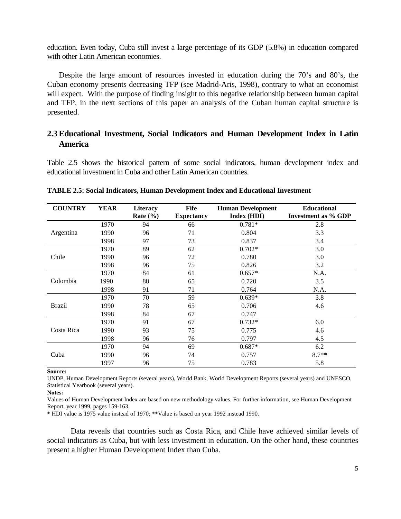education. Even today, Cuba still invest a large percentage of its GDP (5.8%) in education compared with other Latin American economies.

Despite the large amount of resources invested in education during the 70's and 80's, the Cuban economy presents decreasing TFP (see Madrid-Aris, 1998), contrary to what an economist will expect. With the purpose of finding insight to this negative relationship between human capital and TFP, in the next sections of this paper an analysis of the Cuban human capital structure is presented.

## **2.3 Educational Investment, Social Indicators and Human Development Index in Latin America**

Table 2.5 shows the historical pattern of some social indicators, human development index and educational investment in Cuba and other Latin American countries.

| <b>COUNTRY</b> | YEAR | <b>Literacy</b> | <b>Fife</b>       | <b>Human Development</b> | <b>Educational</b>         |
|----------------|------|-----------------|-------------------|--------------------------|----------------------------|
|                |      | Rate $(\% )$    | <b>Expectancy</b> | Index (HDI)              | <b>Investment as % GDP</b> |
|                | 1970 | 94              | 66                | $0.781*$                 | 2.8                        |
| Argentina      | 1990 | 96              | 71                | 0.804                    | 3.3                        |
|                | 1998 | 97              | 73                | 0.837                    | 3.4                        |
|                | 1970 | 89              | 62                | $0.702*$                 | 3.0                        |
| Chile          | 1990 | 96              | 72                | 0.780                    | 3.0                        |
|                | 1998 | 96              | 75                | 0.826                    | 3.2                        |
|                | 1970 | 84              | 61                | $0.657*$                 | N.A.                       |
| Colombia       | 1990 | 88              | 65                | 0.720                    | 3.5                        |
|                | 1998 | 91              | 71                | 0.764                    | N.A.                       |
|                | 1970 | 70              | 59                | $0.639*$                 | 3.8                        |
| <b>Brazil</b>  | 1990 | 78              | 65                | 0.706                    | 4.6                        |
|                | 1998 | 84              | 67                | 0.747                    |                            |
|                | 1970 | 91              | 67                | $0.732*$                 | 6.0                        |
| Costa Rica     | 1990 | 93              | 75                | 0.775                    | 4.6                        |
|                | 1998 | 96              | 76                | 0.797                    | 4.5                        |
|                | 1970 | 94              | 69                | $0.687*$                 | 6.2                        |
| Cuba           | 1990 | 96              | 74                | 0.757                    | $8.7**$                    |
|                | 1997 | 96              | 75                | 0.783                    | 5.8                        |

**TABLE 2.5: Social Indicators, Human Development Index and Educational Investment**

**Source:**

UNDP, Human Development Reports (several years), World Bank, World Development Reports (several years) and UNESCO, Statistical Yearbook (several years).

#### **Notes:**

Values of Human Development Index are based on new methodology values. For further information, see Human Development Report, year 1999, pages 159-163.

\* HDI value is 1975 value instead of 1970; \*\*Value is based on year 1992 instead 1990.

Data reveals that countries such as Costa Rica, and Chile have achieved similar levels of social indicators as Cuba, but with less investment in education. On the other hand, these countries present a higher Human Development Index than Cuba.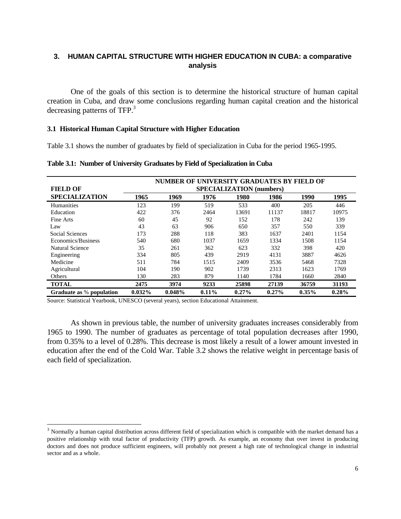## **3. HUMAN CAPITAL STRUCTURE WITH HIGHER EDUCATION IN CUBA: a comparative analysis**

One of the goals of this section is to determine the historical structure of human capital creation in Cuba, and draw some conclusions regarding human capital creation and the historical decreasing patterns of TFP.<sup>3</sup>

#### **3.1 Historical Human Capital Structure with Higher Education**

Table 3.1 shows the number of graduates by field of specialization in Cuba for the period 1965-1995.

| <b>FIELD OF</b>          | NUMBER OF UNIVERSITY GRADUATES BY FIELD OF<br><b>SPECIALIZATION</b> (numbers) |        |       |          |       |          |       |
|--------------------------|-------------------------------------------------------------------------------|--------|-------|----------|-------|----------|-------|
| <b>SPECIALIZATION</b>    | 1965                                                                          | 1969   | 1976  | 1980     | 1986  | 1990     | 1995  |
| Humanities               | 123                                                                           | 199    | 519   | 533      | 400   | 205      | 446   |
| Education                | 422                                                                           | 376    | 2464  | 13691    | 11137 | 18817    | 10975 |
| Fine Arts                | 60                                                                            | 45     | 92    | 152      | 178   | 242      | 139   |
| Law                      | 43                                                                            | 63     | 906   | 650      | 357   | 550      | 339   |
| Social Sciences          | 173                                                                           | 288    | 118   | 383      | 1637  | 2401     | 1154  |
| Economics/Business       | 540                                                                           | 680    | 1037  | 1659     | 1334  | 1508     | 1154  |
| Natural Science          | 35                                                                            | 261    | 362   | 623      | 332   | 398      | 420   |
| Engineering              | 334                                                                           | 805    | 439   | 2919     | 4131  | 3887     | 4626  |
| Medicine                 | 511                                                                           | 784    | 1515  | 2409     | 3536  | 5468     | 7328  |
| Agricultural             | 104                                                                           | 190    | 902   | 1739     | 2313  | 1623     | 1769  |
| Others                   | 130                                                                           | 283    | 879   | 1140     | 1784  | 1660     | 2840  |
| <b>TOTAL</b>             | 2475                                                                          | 3974   | 9233  | 25898    | 27139 | 36759    | 31193 |
| Graduate as % population | 0.032%                                                                        | 0.048% | 0.11% | $0.27\%$ | 0.27% | $0.35\%$ | 0.28% |

**Table 3.1: Number of University Graduates by Field of Specialization in Cuba**

Source: Statistical Yearbook, UNESCO (several years), section Educational Attainment.

 $\overline{a}$ 

As shown in previous table, the number of university graduates increases considerably from 1965 to 1990. The number of graduates as percentage of total population decreases after 1990, from 0.35% to a level of 0.28%. This decrease is most likely a result of a lower amount invested in education after the end of the Cold War. Table 3.2 shows the relative weight in percentage basis of each field of specialization.

<sup>&</sup>lt;sup>3</sup> Normally a human capital distribution across different field of specialization which is compatible with the market demand has a positive relationship with total factor of productivity (TFP) growth. As example, an economy that over invest in producing doctors and does not produce sufficient engineers, will probably not present a high rate of technological change in industrial sector and as a whole.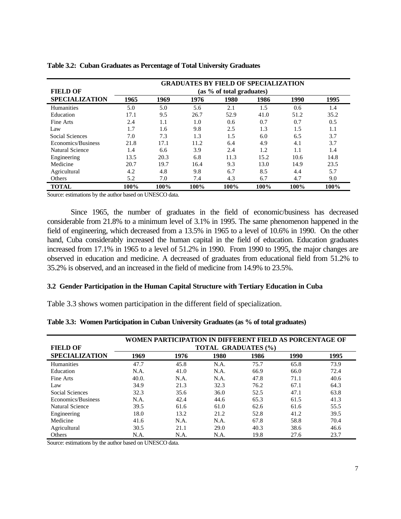|                       | <b>GRADUATES BY FIELD OF SPECIALIZATION</b> |      |      |      |      |      |      |  |  |  |
|-----------------------|---------------------------------------------|------|------|------|------|------|------|--|--|--|
| <b>FIELD OF</b>       | (as % of total graduates)                   |      |      |      |      |      |      |  |  |  |
| <b>SPECIALIZATION</b> | 1965                                        | 1969 | 1976 | 1980 | 1986 | 1990 | 1995 |  |  |  |
| Humanities            | 5.0                                         | 5.0  | 5.6  | 2.1  | 1.5  | 0.6  | 1.4  |  |  |  |
| Education             | 17.1                                        | 9.5  | 26.7 | 52.9 | 41.0 | 51.2 | 35.2 |  |  |  |
| Fine Arts             | 2.4                                         | 1.1  | 1.0  | 0.6  | 0.7  | 0.7  | 0.5  |  |  |  |
| Law                   | 1.7                                         | 1.6  | 9.8  | 2.5  | 1.3  | 1.5  | 1.1  |  |  |  |
| Social Sciences       | 7.0                                         | 7.3  | 1.3  | 1.5  | 6.0  | 6.5  | 3.7  |  |  |  |
| Economics/Business    | 21.8                                        | 17.1 | 11.2 | 6.4  | 4.9  | 4.1  | 3.7  |  |  |  |
| Natural Science       | 1.4                                         | 6.6  | 3.9  | 2.4  | 1.2  | 1.1  | 1.4  |  |  |  |
| Engineering           | 13.5                                        | 20.3 | 6.8  | 11.3 | 15.2 | 10.6 | 14.8 |  |  |  |
| Medicine              | 20.7                                        | 19.7 | 16.4 | 9.3  | 13.0 | 14.9 | 23.5 |  |  |  |
| Agricultural          | 4.2                                         | 4.8  | 9.8  | 6.7  | 8.5  | 4.4  | 5.7  |  |  |  |
| Others                | 5.2                                         | 7.0  | 7.4  | 4.3  | 6.7  | 4.7  | 9.0  |  |  |  |
| <b>TOTAL</b>          | 100%                                        | 100% | 100% | 100% | 100% | 100% | 100% |  |  |  |

|  |  | Table 3.2: Cuban Graduates as Percentage of Total University Graduates |  |  |  |  |
|--|--|------------------------------------------------------------------------|--|--|--|--|
|--|--|------------------------------------------------------------------------|--|--|--|--|

Source: estimations by the author based on UNESCO data.

Since 1965, the number of graduates in the field of economic/business has decreased considerable from 21.8% to a minimum level of 3.1% in 1995. The same phenomenon happened in the field of engineering, which decreased from a 13.5% in 1965 to a level of 10.6% in 1990. On the other hand, Cuba considerably increased the human capital in the field of education. Education graduates increased from 17.1% in 1965 to a level of 51.2% in 1990. From 1990 to 1995, the major changes are observed in education and medicine. A decreased of graduates from educational field from 51.2% to 35.2% is observed, and an increased in the field of medicine from 14.9% to 23.5%.

#### **3.2 Gender Participation in the Human Capital Structure with Tertiary Education in Cuba**

Table 3.3 shows women participation in the different field of specialization.

|                       | WOMEN PARTICIPATION IN DIFFERENT FIELD AS PORCENTAGE OF |      |      |                            |      |      |  |
|-----------------------|---------------------------------------------------------|------|------|----------------------------|------|------|--|
| <b>FIELD OF</b>       |                                                         |      |      | <b>TOTAL GRADUATES (%)</b> |      |      |  |
| <b>SPECIALIZATION</b> | 1969                                                    | 1976 | 1980 | 1986                       | 1990 | 1995 |  |
| Humanities            | 47.7                                                    | 45.8 | N.A. | 75.7                       | 65.8 | 73.9 |  |
| Education             | N.A.                                                    | 41.0 | N.A. | 66.9                       | 66.0 | 72.4 |  |
| Fine Arts             | 40.0.                                                   | N.A. | N.A. | 47.8                       | 71.1 | 40.6 |  |
| Law                   | 34.9                                                    | 21.3 | 32.3 | 76.2                       | 67.1 | 64.3 |  |
| Social Sciences       | 32.3                                                    | 35.6 | 36.0 | 52.5                       | 47.1 | 63.8 |  |
| Economics/Business    | N.A.                                                    | 42.4 | 44.6 | 65.3                       | 61.5 | 41.3 |  |
| Natural Science       | 39.5                                                    | 61.6 | 61.0 | 62.6                       | 61.6 | 55.5 |  |
| Engineering           | 18.0                                                    | 13.2 | 21.2 | 52.8                       | 41.2 | 39.5 |  |
| Medicine              | 41.6                                                    | N.A. | N.A. | 67.8                       | 58.8 | 70.4 |  |
| Agricultural          | 30.5                                                    | 21.1 | 29.0 | 40.3                       | 38.6 | 46.6 |  |
| Others                | N.A.                                                    | N.A. | N.A. | 19.8                       | 27.6 | 23.7 |  |

**Table 3.3: Women Participation in Cuban University Graduates (as % of total graduates)**

Source: estimations by the author based on UNESCO data.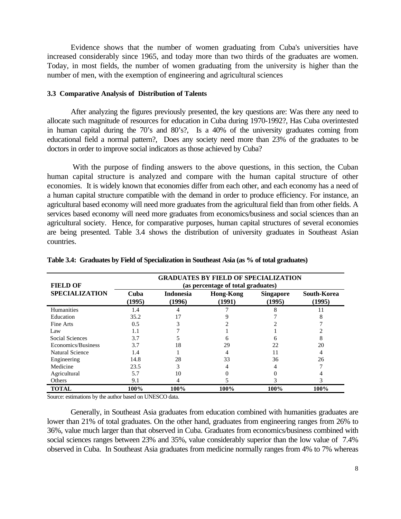Evidence shows that the number of women graduating from Cuba's universities have increased considerably since 1965, and today more than two thirds of the graduates are women. Today, in most fields, the number of women graduating from the university is higher than the number of men, with the exemption of engineering and agricultural sciences

#### **3.3 Comparative Analysis of Distribution of Talents**

After analyzing the figures previously presented, the key questions are: Was there any need to allocate such magnitude of resources for education in Cuba during 1970-1992?, Has Cuba overintested in human capital during the 70's and 80's?, Is a 40% of the university graduates coming from educational field a normal pattern?, Does any society need more than 23% of the graduates to be doctors in order to improve social indicators as those achieved by Cuba?

 With the purpose of finding answers to the above questions, in this section, the Cuban human capital structure is analyzed and compare with the human capital structure of other economies. It is widely known that economies differ from each other, and each economy has a need of a human capital structure compatible with the demand in order to produce efficiency. For instance, an agricultural based economy will need more graduates from the agricultural field than from other fields. A services based economy will need more graduates from economics/business and social sciences than an agricultural society. Hence, for comparative purposes, human capital structures of several economies are being presented. Table 3.4 shows the distribution of university graduates in Southeast Asian countries.

| <b>FIELD OF</b>       | <b>GRADUATES BY FIELD OF SPECIALIZATION</b><br>(as percentage of total graduates) |                            |                            |                            |                       |  |  |  |
|-----------------------|-----------------------------------------------------------------------------------|----------------------------|----------------------------|----------------------------|-----------------------|--|--|--|
| <b>SPECIALIZATION</b> | Cuba<br>(1995)                                                                    | <b>Indonesia</b><br>(1996) | <b>Hong-Kong</b><br>(1991) | <b>Singapore</b><br>(1995) | South-Korea<br>(1995) |  |  |  |
| Humanities            | 1.4                                                                               |                            |                            |                            | 11                    |  |  |  |
| Education             | 35.2                                                                              |                            |                            |                            |                       |  |  |  |
| Fine Arts             | 0.5                                                                               |                            |                            |                            |                       |  |  |  |
| Law                   | 1.1                                                                               |                            |                            |                            |                       |  |  |  |
| Social Sciences       | 3.7                                                                               |                            |                            |                            | 8                     |  |  |  |
| Economics/Business    | 3.7                                                                               | 18                         | 29                         | 22                         | 20                    |  |  |  |
| Natural Science       | 1.4                                                                               |                            | 4                          | 11                         | 4                     |  |  |  |
| Engineering           | 14.8                                                                              | 28                         | 33                         | 36                         | 26                    |  |  |  |
| Medicine              | 23.5                                                                              | 3                          |                            |                            |                       |  |  |  |
| Agricultural          | 5.7                                                                               | 10                         |                            |                            |                       |  |  |  |
| <b>Others</b>         | 9.1                                                                               |                            |                            |                            |                       |  |  |  |
| <b>TOTAL</b>          | 100%                                                                              | 100%                       | 100%                       | 100%                       | 100%                  |  |  |  |

**Table 3.4: Graduates by Field of Specialization in Southeast Asia (as % of total graduates)**

Source: estimations by the author based on UNESCO data.

Generally, in Southeast Asia graduates from education combined with humanities graduates are lower than 21% of total graduates. On the other hand, graduates from engineering ranges from 26% to 36%, value much larger than that observed in Cuba. Graduates from economics/business combined with social sciences ranges between 23% and 35%, value considerably superior than the low value of 7.4% observed in Cuba. In Southeast Asia graduates from medicine normally ranges from 4% to 7% whereas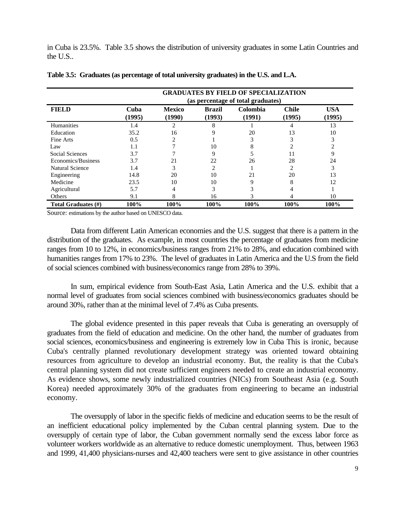in Cuba is 23.5%. Table 3.5 shows the distribution of university graduates in some Latin Countries and the U.S..

|                     | <b>GRADUATES BY FIELD OF SPECIALIZATION</b><br>(as percentage of total graduates) |                         |                         |                    |                        |                      |  |  |
|---------------------|-----------------------------------------------------------------------------------|-------------------------|-------------------------|--------------------|------------------------|----------------------|--|--|
| <b>FIELD</b>        | Cuba<br>(1995)                                                                    | <b>Mexico</b><br>(1990) | <b>Brazil</b><br>(1993) | Colombia<br>(1991) | <b>Chile</b><br>(1995) | <b>USA</b><br>(1995) |  |  |
| <b>Humanities</b>   | 1.4                                                                               | 2                       | 8                       |                    |                        | 13                   |  |  |
| Education           | 35.2                                                                              | 16                      | 9                       | 20                 | 13                     | 10                   |  |  |
| Fine Arts           | 0.5                                                                               |                         |                         |                    |                        | 3                    |  |  |
| Law                 | 1.1                                                                               |                         | 10                      |                    |                        |                      |  |  |
| Social Sciences     | 3.7                                                                               |                         | 9                       |                    | 11                     | 9                    |  |  |
| Economics/Business  | 3.7                                                                               | 21                      | 22                      | 26                 | 28                     | 24                   |  |  |
| Natural Science     | 1.4                                                                               |                         | 2                       |                    |                        | 3                    |  |  |
| Engineering         | 14.8                                                                              | 20                      | 10                      | 21                 | 20                     | 13                   |  |  |
| Medicine            | 23.5                                                                              | 10                      | 10                      | Q                  | 8                      | 12                   |  |  |
| Agricultural        | 5.7                                                                               |                         | 3                       |                    |                        |                      |  |  |
| Others              | 9.1                                                                               | x                       | 16                      |                    |                        | 10                   |  |  |
| Total Graduates (#) | 100%                                                                              | 100%                    | 100%                    | 100%               | 100%                   | 100%                 |  |  |

|  |  | Table 3.5: Graduates (as percentage of total university graduates) in the U.S. and L.A. |
|--|--|-----------------------------------------------------------------------------------------|
|  |  |                                                                                         |

Source: estimations by the author based on UNESCO data.

Data from different Latin American economies and the U.S. suggest that there is a pattern in the distribution of the graduates. As example, in most countries the percentage of graduates from medicine ranges from 10 to 12%, in economics/business ranges from 21% to 28%, and education combined with humanities ranges from 17% to 23%. The level of graduates in Latin America and the U.S from the field of social sciences combined with business/economics range from 28% to 39%.

In sum, empirical evidence from South-East Asia, Latin America and the U.S. exhibit that a normal level of graduates from social sciences combined with business/economics graduates should be around 30%, rather than at the minimal level of 7.4% as Cuba presents.

The global evidence presented in this paper reveals that Cuba is generating an oversupply of graduates from the field of education and medicine. On the other hand, the number of graduates from social sciences, economics/business and engineering is extremely low in Cuba This is ironic, because Cuba's centrally planned revolutionary development strategy was oriented toward obtaining resources from agriculture to develop an industrial economy. But, the reality is that the Cuba's central planning system did not create sufficient engineers needed to create an industrial economy. As evidence shows, some newly industrialized countries (NICs) from Southeast Asia (e.g. South Korea) needed approximately 30% of the graduates from engineering to became an industrial economy.

The oversupply of labor in the specific fields of medicine and education seems to be the result of an inefficient educational policy implemented by the Cuban central planning system. Due to the oversupply of certain type of labor, the Cuban government normally send the excess labor force as volunteer workers worldwide as an alternative to reduce domestic unemployment. Thus, between 1963 and 1999, 41,400 physicians-nurses and 42,400 teachers were sent to give assistance in other countries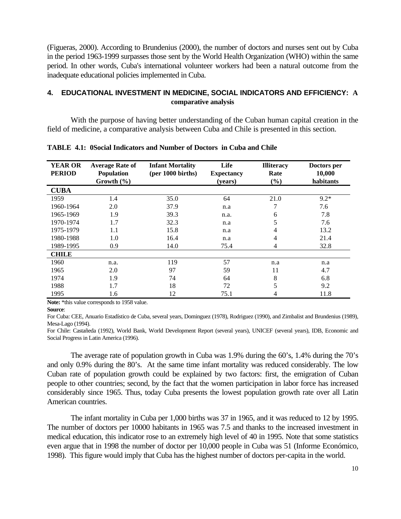(Figueras, 2000). According to Brundenius (2000), the number of doctors and nurses sent out by Cuba in the period 1963-1999 surpasses those sent by the World Health Organization (WHO) within the same period. In other words, Cuba's international volunteer workers had been a natural outcome from the inadequate educational policies implemented in Cuba.

## **4. EDUCATIONAL INVESTMENT IN MEDICINE, SOCIAL INDICATORS AND EFFICIENCY: A comparative analysis**

With the purpose of having better understanding of the Cuban human capital creation in the field of medicine, a comparative analysis between Cuba and Chile is presented in this section.

| <b>YEAR OR</b><br><b>PERIOD</b> | <b>Average Rate of</b><br><b>Population</b><br>Growth $(\% )$ | <b>Infant Mortality</b><br>$(per 1000 \text{ births})$ | Life<br><b>Expectancy</b><br>(years) | <b>Illiteracy</b><br>Rate<br>(%) | Doctors per<br>10,000<br>habitants |
|---------------------------------|---------------------------------------------------------------|--------------------------------------------------------|--------------------------------------|----------------------------------|------------------------------------|
| <b>CUBA</b>                     |                                                               |                                                        |                                      |                                  |                                    |
| 1959                            | 1.4                                                           | 35.0                                                   | 64                                   | 21.0                             | $9.2*$                             |
| 1960-1964                       | 2.0                                                           | 37.9                                                   | n.a                                  | 7                                | 7.6                                |
| 1965-1969                       | 1.9                                                           | 39.3                                                   | n.a.                                 | 6                                | 7.8                                |
| 1970-1974                       | 1.7                                                           | 32.3                                                   | n.a                                  | 5                                | 7.6                                |
| 1975-1979                       | 1.1                                                           | 15.8                                                   | n.a                                  | 4                                | 13.2                               |
| 1980-1988                       | 1.0                                                           | 16.4                                                   | n.a                                  | 4                                | 21.4                               |
| 1989-1995                       | 0.9                                                           | 14.0                                                   | 75.4                                 | 4                                | 32.8                               |
| <b>CHILE</b>                    |                                                               |                                                        |                                      |                                  |                                    |
| 1960                            | n.a.                                                          | 119                                                    | 57                                   | n.a                              | n.a                                |
| 1965                            | 2.0                                                           | 97                                                     | 59                                   | 11                               | 4.7                                |
| 1974                            | 1.9                                                           | 74                                                     | 64                                   | 8                                | 6.8                                |
| 1988                            | 1.7                                                           | 18                                                     | 72                                   | 5                                | 9.2                                |
| 1995                            | 1.6                                                           | 12                                                     | 75.1                                 | 4                                | 11.8                               |

**TABLE 4.1: 0Social Indicators and Number of Doctors in Cuba and Chile**

Note: \*this value corresponds to 1958 value.

**Source**:

For Cuba: CEE, Anuario Estadístico de Cuba, several years, Dominguez (1978), Rodriguez (1990), and Zimbalist and Brundenius (1989), Mesa-Lago (1994).

For Chile: Castañeda (1992), World Bank, World Development Report (several years), UNICEF (several years), IDB, Economic and Social Progress in Latin America (1996).

The average rate of population growth in Cuba was 1.9% during the 60's, 1.4% during the 70's and only 0.9% during the 80's. At the same time infant mortality was reduced considerably. The low Cuban rate of population growth could be explained by two factors: first, the emigration of Cuban people to other countries; second, by the fact that the women participation in labor force has increased considerably since 1965. Thus, today Cuba presents the lowest population growth rate over all Latin American countries.

The infant mortality in Cuba per 1,000 births was 37 in 1965, and it was reduced to 12 by 1995. The number of doctors per 10000 habitants in 1965 was 7.5 and thanks to the increased investment in medical education, this indicator rose to an extremely high level of 40 in 1995. Note that some statistics even argue that in 1998 the number of doctor per 10,000 people in Cuba was 51 (Informe Económico, 1998). This figure would imply that Cuba has the highest number of doctors per-capita in the world.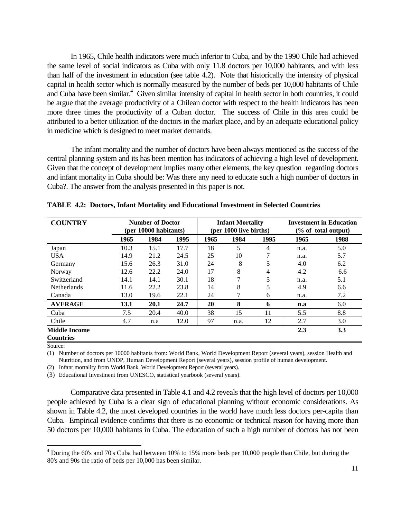In 1965, Chile health indicators were much inferior to Cuba, and by the 1990 Chile had achieved the same level of social indicators as Cuba with only 11.8 doctors per 10,000 habitants, and with less than half of the investment in education (see table 4.2). Note that historically the intensity of physical capital in health sector which is normally measured by the number of beds per 10,000 habitants of Chile and Cuba have been similar.<sup>4</sup> Given similar intensity of capital in health sector in both countries, it could be argue that the average productivity of a Chilean doctor with respect to the health indicators has been more three times the productivity of a Cuban doctor. The success of Chile in this area could be attributed to a better utilization of the doctors in the market place, and by an adequate educational policy in medicine which is designed to meet market demands.

The infant mortality and the number of doctors have been always mentioned as the success of the central planning system and its has been mention has indicators of achieving a high level of development. Given that the concept of development implies many other elements, the key question regarding doctors and infant mortality in Cuba should be: Was there any need to educate such a high number of doctors in Cuba?. The answer from the analysis presented in this paper is not.

| <b>COUNTRY</b>                           | <b>Number of Doctor</b><br>(per 10000 habitants) |      | <b>Infant Mortality</b><br>(per 1000 live births) |      |      | <b>Investment in Education</b><br>(% of total output) |      |      |
|------------------------------------------|--------------------------------------------------|------|---------------------------------------------------|------|------|-------------------------------------------------------|------|------|
|                                          | 1965                                             | 1984 | 1995                                              | 1965 | 1984 | 1995                                                  | 1965 | 1988 |
| Japan                                    | 10.3                                             | 15.1 | 17.7                                              | 18   | 5    | 4                                                     | n.a. | 5.0  |
| <b>USA</b>                               | 14.9                                             | 21.2 | 24.5                                              | 25   | 10   | 7                                                     | n.a. | 5.7  |
| Germany                                  | 15.6                                             | 26.3 | 31.0                                              | 24   | 8    | 5                                                     | 4.0  | 6.2  |
| Norway                                   | 12.6                                             | 22.2 | 24.0                                              | 17   | 8    | 4                                                     | 4.2  | 6.6  |
| Switzerland                              | 14.1                                             | 14.1 | 30.1                                              | 18   | 7    | 5                                                     | n.a. | 5.1  |
| <b>Netherlands</b>                       | 11.6                                             | 22.2 | 23.8                                              | 14   | 8    | 5                                                     | 4.9  | 6.6  |
| Canada                                   | 13.0                                             | 19.6 | 22.1                                              | 24   | 7    | 6                                                     | n.a. | 7.2  |
| <b>AVERAGE</b>                           | 13.1                                             | 20.1 | 24.7                                              | 20   | 8    | 6                                                     | n.a  | 6.0  |
| Cuba                                     | 7.5                                              | 20.4 | 40.0                                              | 38   | 15   | 11                                                    | 5.5  | 8.8  |
| Chile                                    | 4.7                                              | n.a  | 12.0                                              | 97   | n.a. | 12                                                    | 2.7  | 3.0  |
| <b>Middle Income</b><br><b>Countries</b> |                                                  |      |                                                   |      |      |                                                       | 2.3  | 3.3  |

**TABLE 4.2: Doctors, Infant Mortality and Educational Investment in Selected Countries**

Source:

 $\overline{a}$ 

(1) Number of doctors per 10000 habitants from: World Bank, World Development Report (several years), session Health and Nutrition, and from UNDP, Human Development Report (several years), session profile of human development.

(2) Infant mortality from World Bank, World Development Report (several years).

(3) Educational Investment from UNESCO, statistical yearbook (several years).

Comparative data presented in Table 4.1 and 4.2 reveals that the high level of doctors per 10,000 people achieved by Cuba is a clear sign of educational planning without economic considerations. As shown in Table 4.2, the most developed countries in the world have much less doctors per-capita than Cuba. Empirical evidence confirms that there is no economic or technical reason for having more than 50 doctors per 10,000 habitants in Cuba. The education of such a high number of doctors has not been

<sup>&</sup>lt;sup>4</sup> During the 60's and 70's Cuba had between 10% to 15% more beds per 10,000 people than Chile, but during the 80's and 90s the ratio of beds per 10,000 has been similar.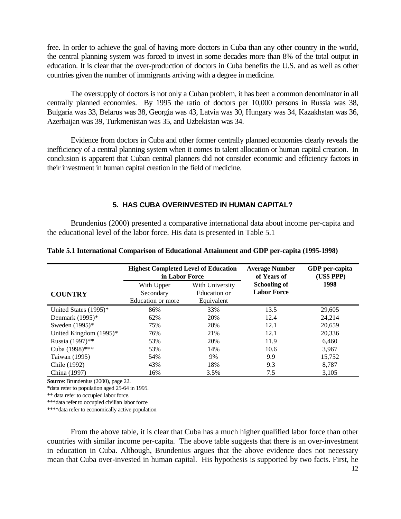free. In order to achieve the goal of having more doctors in Cuba than any other country in the world, the central planning system was forced to invest in some decades more than 8% of the total output in education. It is clear that the over-production of doctors in Cuba benefits the U.S. and as well as other countries given the number of immigrants arriving with a degree in medicine.

The oversupply of doctors is not only a Cuban problem, it has been a common denominator in all centrally planned economies. By 1995 the ratio of doctors per 10,000 persons in Russia was 38, Bulgaria was 33, Belarus was 38, Georgia was 43, Latvia was 30, Hungary was 34, Kazakhstan was 36, Azerbaijan was 39, Turkmenistan was 35, and Uzbekistan was 34.

Evidence from doctors in Cuba and other former centrally planned economies clearly reveals the inefficiency of a central planning system when it comes to talent allocation or human capital creation. In conclusion is apparent that Cuban central planners did not consider economic and efficiency factors in their investment in human capital creation in the field of medicine.

#### **5. HAS CUBA OVERINVESTED IN HUMAN CAPITAL?**

Brundenius (2000) presented a comparative international data about income per-capita and the educational level of the labor force. His data is presented in Table 5.1

|                           | <b>Highest Completed Level of Education</b><br>in Labor Force |                                               |                                           | GDP per-capita<br>(US\$ PPP) |
|---------------------------|---------------------------------------------------------------|-----------------------------------------------|-------------------------------------------|------------------------------|
| <b>COUNTRY</b>            | With Upper<br>Secondary<br>Education or more                  | With University<br>Education or<br>Equivalent | <b>Schooling of</b><br><b>Labor Force</b> | 1998                         |
| United States (1995)*     | 86%                                                           | 33%                                           | 13.5                                      | 29,605                       |
| Denmark (1995)*           | 62%                                                           | 20%                                           | 12.4                                      | 24,214                       |
| Sweden (1995)*            | 75%                                                           | 28%                                           | 12.1                                      | 20,659                       |
| United Kingdom $(1995)^*$ | 76%                                                           | 21%                                           | 12.1                                      | 20,336                       |
| Russia (1997)**           | 53%                                                           | 20%                                           | 11.9                                      | 6,460                        |
| Cuba (1998)***            | 53%                                                           | 14%                                           | 10.6                                      | 3,967                        |
| Taiwan (1995)             | 54%                                                           | 9%                                            | 9.9                                       | 15,752                       |
| Chile (1992)              | 43%                                                           | 18%                                           | 9.3                                       | 8,787                        |
| China (1997)              | 16%                                                           | 3.5%                                          | 7.5                                       | 3.105                        |

**Table 5.1 International Comparison of Educational Attainment and GDP per-capita (1995-1998)**

**Source**: Brundenius (2000), page 22.

\*data refer to population aged 25-64 in 1995.

\*\* data refer to occupied labor force.

\*\*\*data refer to occupied civilian labor force

\*\*\*\*data refer to economically active population

From the above table, it is clear that Cuba has a much higher qualified labor force than other countries with similar income per-capita. The above table suggests that there is an over-investment in education in Cuba. Although, Brundenius argues that the above evidence does not necessary mean that Cuba over-invested in human capital. His hypothesis is supported by two facts. First, he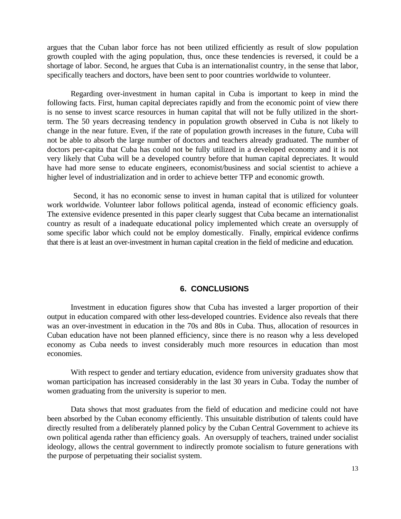argues that the Cuban labor force has not been utilized efficiently as result of slow population growth coupled with the aging population, thus, once these tendencies is reversed, it could be a shortage of labor. Second, he argues that Cuba is an internationalist country, in the sense that labor, specifically teachers and doctors, have been sent to poor countries worldwide to volunteer.

Regarding over-investment in human capital in Cuba is important to keep in mind the following facts. First, human capital depreciates rapidly and from the economic point of view there is no sense to invest scarce resources in human capital that will not be fully utilized in the shortterm. The 50 years decreasing tendency in population growth observed in Cuba is not likely to change in the near future. Even, if the rate of population growth increases in the future, Cuba will not be able to absorb the large number of doctors and teachers already graduated. The number of doctors per-capita that Cuba has could not be fully utilized in a developed economy and it is not very likely that Cuba will be a developed country before that human capital depreciates. It would have had more sense to educate engineers, economist/business and social scientist to achieve a higher level of industrialization and in order to achieve better TFP and economic growth.

 Second, it has no economic sense to invest in human capital that is utilized for volunteer work worldwide. Volunteer labor follows political agenda, instead of economic efficiency goals. The extensive evidence presented in this paper clearly suggest that Cuba became an internationalist country as result of a inadequate educational policy implemented which create an oversupply of some specific labor which could not be employ domestically. Finally, empirical evidence confirms that there is at least an over-investment in human capital creation in the field of medicine and education.

### **6. CONCLUSIONS**

Investment in education figures show that Cuba has invested a larger proportion of their output in education compared with other less-developed countries. Evidence also reveals that there was an over-investment in education in the 70s and 80s in Cuba. Thus, allocation of resources in Cuban education have not been planned efficiency, since there is no reason why a less developed economy as Cuba needs to invest considerably much more resources in education than most economies.

With respect to gender and tertiary education, evidence from university graduates show that woman participation has increased considerably in the last 30 years in Cuba. Today the number of women graduating from the university is superior to men.

Data shows that most graduates from the field of education and medicine could not have been absorbed by the Cuban economy efficiently. This unsuitable distribution of talents could have directly resulted from a deliberately planned policy by the Cuban Central Government to achieve its own political agenda rather than efficiency goals. An oversupply of teachers, trained under socialist ideology, allows the central government to indirectly promote socialism to future generations with the purpose of perpetuating their socialist system.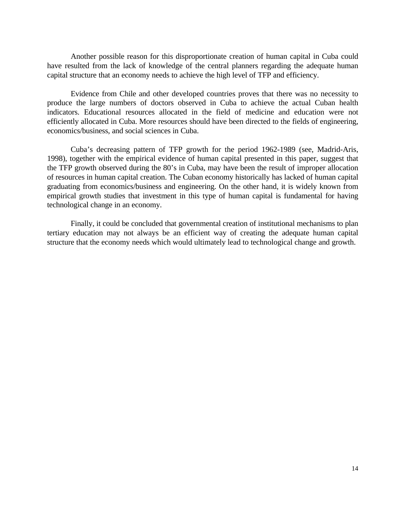Another possible reason for this disproportionate creation of human capital in Cuba could have resulted from the lack of knowledge of the central planners regarding the adequate human capital structure that an economy needs to achieve the high level of TFP and efficiency.

Evidence from Chile and other developed countries proves that there was no necessity to produce the large numbers of doctors observed in Cuba to achieve the actual Cuban health indicators. Educational resources allocated in the field of medicine and education were not efficiently allocated in Cuba. More resources should have been directed to the fields of engineering, economics/business, and social sciences in Cuba.

Cuba's decreasing pattern of TFP growth for the period 1962-1989 (see, Madrid-Aris, 1998), together with the empirical evidence of human capital presented in this paper, suggest that the TFP growth observed during the 80's in Cuba, may have been the result of improper allocation of resources in human capital creation. The Cuban economy historically has lacked of human capital graduating from economics/business and engineering. On the other hand, it is widely known from empirical growth studies that investment in this type of human capital is fundamental for having technological change in an economy.

Finally, it could be concluded that governmental creation of institutional mechanisms to plan tertiary education may not always be an efficient way of creating the adequate human capital structure that the economy needs which would ultimately lead to technological change and growth.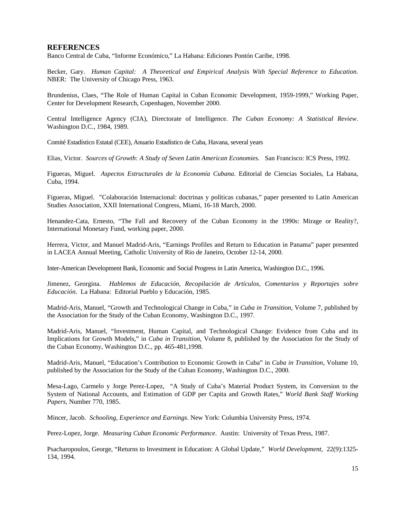#### **REFERENCES**

Banco Central de Cuba, "Informe Económico," La Habana: Ediciones Pontón Caribe, 1998.

Becker, Gary. *Human Capital: A Theoretical and Empirical Analysis With Special Reference to Education.* NBER: The University of Chicago Press, 1963.

Brundenius, Claes, "The Role of Human Capital in Cuban Economic Development, 1959-1999," Working Paper, Center for Development Research, Copenhagen, November 2000.

Central Intelligence Agency (CIA), Directorate of Intelligence. *The Cuban Economy: A Statistical Review*. Washington D.C., 1984, 1989.

Comité Estadístico Estatal (CEE), Anuario Estadístico de Cuba, Havana, several years

Elias, Victor. *Sources of Growth: A Study of Seven Latin American Economies.* San Francisco: ICS Press, 1992.

Figueras, Miguel. *Aspectos Estructurales de la Economía Cubana*. Editorial de Ciencias Sociales, La Habana, Cuba, 1994.

Figueras, Miguel. "Colaboración Internacional: doctrinas y políticas cubanas," paper presented to Latin American Studies Association, XXII International Congress, Miami, 16-18 March, 2000.

Henandez-Cata, Ernesto, "The Fall and Recovery of the Cuban Economy in the 1990s: Mirage or Reality?, International Monetary Fund, working paper, 2000.

Herrera, Victor, and Manuel Madrid-Aris, "Earnings Profiles and Return to Education in Panama" paper presented in LACEA Annual Meeting, Catholic University of Rio de Janeiro, October 12-14, 2000.

Inter-American Development Bank, Economic and Social Progress in Latin America, Washington D.C., 1996.

Jimenez, Georgina. *Hablemos de Educación, Recopilación de Artículos, Comentarios y Reportajes sobre Educación*. La Habana: Editorial Pueblo y Educación, 1985.

Madrid-Aris, Manuel, "Growth and Technological Change in Cuba," in *Cuba in Transition*, Volume 7, published by the Association for the Study of the Cuban Economy, Washington D.C., 1997.

Madrid-Aris, Manuel, "Investment, Human Capital, and Technological Change: Evidence from Cuba and its Implications for Growth Models," in *Cuba in Transition*, Volume 8, published by the Association for the Study of the Cuban Economy, Washington D.C., pp. 465-481,1998.

Madrid-Aris, Manuel, "Education's Contribution to Economic Growth in Cuba" in *Cuba in Transition*, Volume 10, published by the Association for the Study of the Cuban Economy, Washington D.C., 2000.

Mesa-Lago, Carmelo y Jorge Perez-Lopez, "A Study of Cuba's Material Product System, its Conversion to the System of National Accounts, and Estimation of GDP per Capita and Growth Rates," *World Bank Staff Working Papers*, Number 770, 1985.

Mincer, Jacob. *Schooling, Experience and Earnings*. New York: Columbia University Press, 1974.

Perez-Lopez, Jorge. *Measuring Cuban Economic Performance*. Austin: University of Texas Press, 1987.

Psacharopoulos, George, "Returns to Investment in Education: A Global Update," *World Development,* 22(9):1325- 134, 1994.